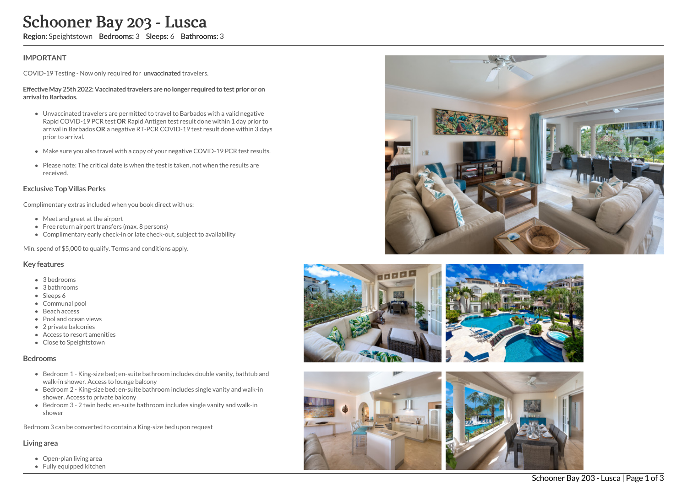# Schooner Bay 203 - Lusca

Region: Speightstown Bedrooms: 3 Sleeps: 6 Bathrooms: 3

## IMPORTANT

COVID-19 Testing - Now only required for unvaccinated travelers.

#### Effective May 25th 2022: Vaccinated travelers are no longer required to test prior or on arrival to Barbados.

- Unvaccinated travelers are permitted to travel to Barbados with a valid negative Rapid COVID-19 PCR test OR Rapid Antigen test result done within 1 day prior to arrival in Barbados OR a negative RT-PCR COVID-19 test result done within 3 days prior to arrival.
- Make sure you also travel with a copy of your negative COVID-19 PCR test results.
- Please note: The critical date is when the test is taken, not when the results are received.

### Exclusive Top Villas Perks

Complimentary extras included when you book direct with us:

- Meet and greet at the airport
- Free return airport transfers (max. 8 persons)
- Complimentary early check-in or late check-out, subject to availability

Min. spend of \$5,000 to qualify. Terms and conditions apply.

#### Key features

- 3 bedrooms
- 3 bathrooms
- Sleeps 6
- Communal pool
- **Beach access**
- Pool and ocean views
- 2 private balconies
- Access to resort amenities
- Close to Speightstown

#### Bedrooms

- Bedroom 1 King-size bed; en-suite bathroom includes double vanity, bathtub and walk-in shower. Access to lounge balcony
- Bedroom 2 King-size bed; en-suite bathroom includes single vanity and walk-in shower. Access to private balcony
- Bedroom 3 2 twin beds; en-suite bathroom includes single vanity and walk-in shower

Bedroom 3 can be converted to contain a King-size bed upon request

#### Living area

- Open-plan living area
- Fully equipped kitchen









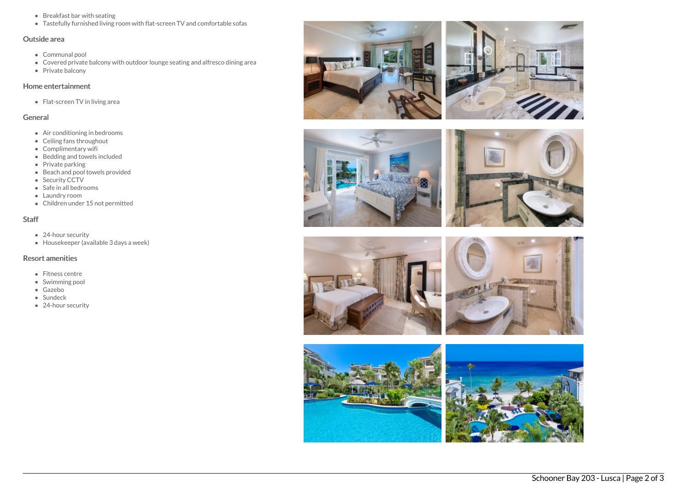- Breakfast bar with seating
- Tastefully furnished living room with flat-screen TV and comfortable sofas

# Outside area

- Communal pool
- Covered private balcony with outdoor lounge seating and alfresco dining area
- Private balcony

## Home entertainment

• Flat-screen TV in living area

## General

- Air conditioning in bedrooms
- Ceiling fans throughout
- Complimentary wifi
- Bedding and towels included
- Private parking
- Beach and pool towels provided
- Security CCTV
- Safe in all bedrooms
- Laundry room
- Children under 15 not permitted

# **Staff**

- 24-hour security
- $\bullet$  Housekeeper (available 3 days a week)

# Resort amenities

- Fitness centre
- Swimming pool
- Gazebo
- Sundeck
- 24-hour security